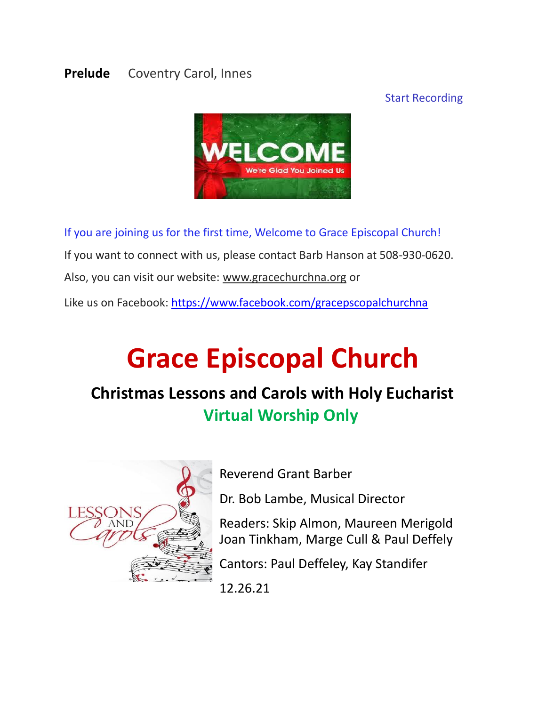# **Prelude** Coventry Carol, Innes

Start Recording



If you are joining us for the first time, Welcome to Grace Episcopal Church! If you want to connect with us, please contact Barb Hanson at 508-930-0620. Also, you can visit our website: [www.gracechurchna.org](http://www.gracechurchna.org/) or Like us on Facebook:<https://www.facebook.com/gracepscopalchurchna>

# **Grace Episcopal Church**

# **Christmas Lessons and Carols with Holy Eucharist Virtual Worship Only**



Reverend Grant Barber

Dr. Bob Lambe, Musical Director

Readers: Skip Almon, Maureen Merigold Joan Tinkham, Marge Cull & Paul Deffely

Cantors: Paul Deffeley, Kay Standifer

12.26.21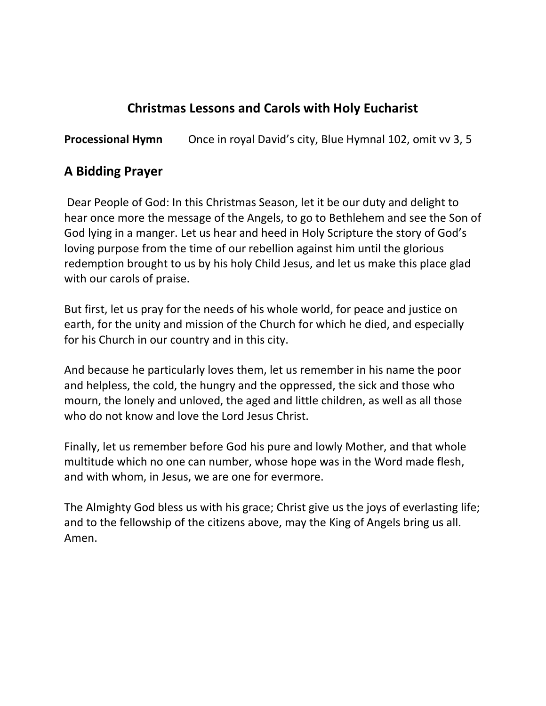#### **Christmas Lessons and Carols with Holy Eucharist**

**Processional Hymn** Once in royal David's city, Blue Hymnal 102, omit vv 3, 5

#### **A Bidding Prayer**

Dear People of God: In this Christmas Season, let it be our duty and delight to hear once more the message of the Angels, to go to Bethlehem and see the Son of God lying in a manger. Let us hear and heed in Holy Scripture the story of God's loving purpose from the time of our rebellion against him until the glorious redemption brought to us by his holy Child Jesus, and let us make this place glad with our carols of praise.

But first, let us pray for the needs of his whole world, for peace and justice on earth, for the unity and mission of the Church for which he died, and especially for his Church in our country and in this city.

And because he particularly loves them, let us remember in his name the poor and helpless, the cold, the hungry and the oppressed, the sick and those who mourn, the lonely and unloved, the aged and little children, as well as all those who do not know and love the Lord Jesus Christ.

Finally, let us remember before God his pure and lowly Mother, and that whole multitude which no one can number, whose hope was in the Word made flesh, and with whom, in Jesus, we are one for evermore.

The Almighty God bless us with his grace; Christ give us the joys of everlasting life; and to the fellowship of the citizens above, may the King of Angels bring us all. Amen.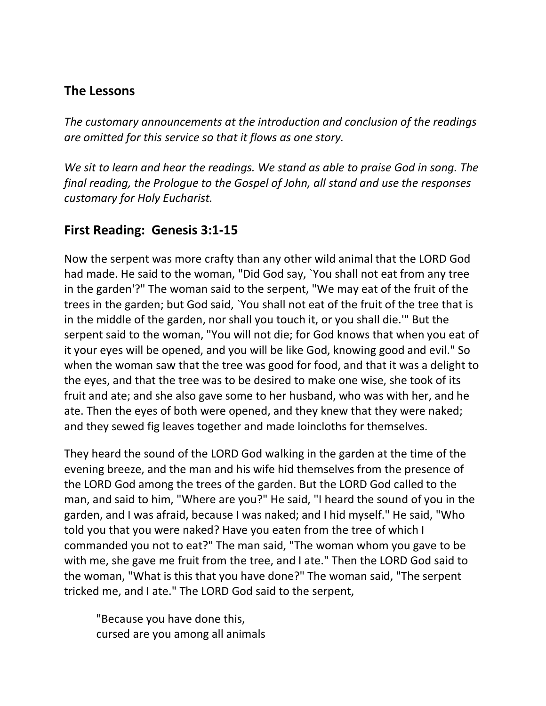#### **The Lessons**

*The customary announcements at the introduction and conclusion of the readings are omitted for this service so that it flows as one story.*

*We sit to learn and hear the readings. We stand as able to praise God in song. The final reading, the Prologue to the Gospel of John, all stand and use the responses customary for Holy Eucharist.*

#### **First Reading: Genesis 3:1-15**

Now the serpent was more crafty than any other wild animal that the LORD God had made. He said to the woman, "Did God say, `You shall not eat from any tree in the garden'?" The woman said to the serpent, "We may eat of the fruit of the trees in the garden; but God said, `You shall not eat of the fruit of the tree that is in the middle of the garden, nor shall you touch it, or you shall die.'" But the serpent said to the woman, "You will not die; for God knows that when you eat of it your eyes will be opened, and you will be like God, knowing good and evil." So when the woman saw that the tree was good for food, and that it was a delight to the eyes, and that the tree was to be desired to make one wise, she took of its fruit and ate; and she also gave some to her husband, who was with her, and he ate. Then the eyes of both were opened, and they knew that they were naked; and they sewed fig leaves together and made loincloths for themselves.

They heard the sound of the LORD God walking in the garden at the time of the evening breeze, and the man and his wife hid themselves from the presence of the LORD God among the trees of the garden. But the LORD God called to the man, and said to him, "Where are you?" He said, "I heard the sound of you in the garden, and I was afraid, because I was naked; and I hid myself." He said, "Who told you that you were naked? Have you eaten from the tree of which I commanded you not to eat?" The man said, "The woman whom you gave to be with me, she gave me fruit from the tree, and I ate." Then the LORD God said to the woman, "What is this that you have done?" The woman said, "The serpent tricked me, and I ate." The LORD God said to the serpent,

"Because you have done this, cursed are you among all animals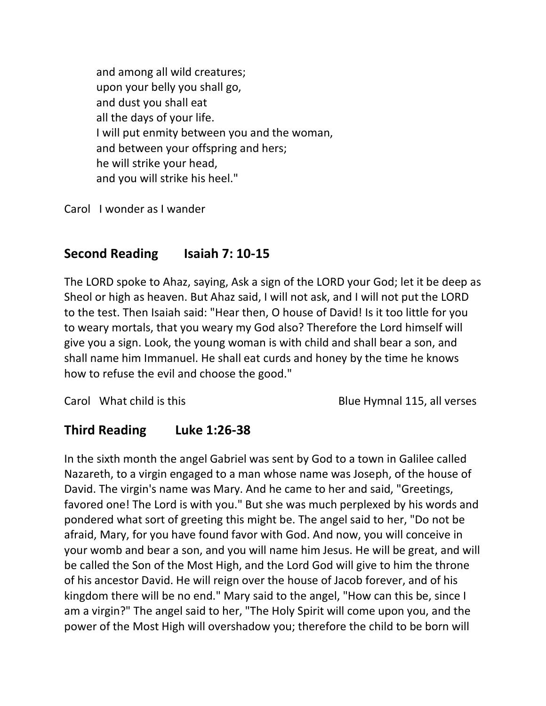and among all wild creatures; upon your belly you shall go, and dust you shall eat all the days of your life. I will put enmity between you and the woman, and between your offspring and hers; he will strike your head, and you will strike his heel."

Carol I wonder as I wander

# **Second Reading Isaiah 7: 10-15**

The LORD spoke to Ahaz, saying, Ask a sign of the LORD your God; let it be deep as Sheol or high as heaven. But Ahaz said, I will not ask, and I will not put the LORD to the test. Then Isaiah said: "Hear then, O house of David! Is it too little for you to weary mortals, that you weary my God also? Therefore the Lord himself will give you a sign. Look, the young woman is with child and shall bear a son, and shall name him Immanuel. He shall eat curds and honey by the time he knows how to refuse the evil and choose the good."

Carol What child is this Carol What child is this Blue Hymnal 115, all verses

# **Third Reading Luke 1:26-38**

In the sixth month the angel Gabriel was sent by God to a town in Galilee called Nazareth, to a virgin engaged to a man whose name was Joseph, of the house of David. The virgin's name was Mary. And he came to her and said, "Greetings, favored one! The Lord is with you." But she was much perplexed by his words and pondered what sort of greeting this might be. The angel said to her, "Do not be afraid, Mary, for you have found favor with God. And now, you will conceive in your womb and bear a son, and you will name him Jesus. He will be great, and will be called the Son of the Most High, and the Lord God will give to him the throne of his ancestor David. He will reign over the house of Jacob forever, and of his kingdom there will be no end." Mary said to the angel, "How can this be, since I am a virgin?" The angel said to her, "The Holy Spirit will come upon you, and the power of the Most High will overshadow you; therefore the child to be born will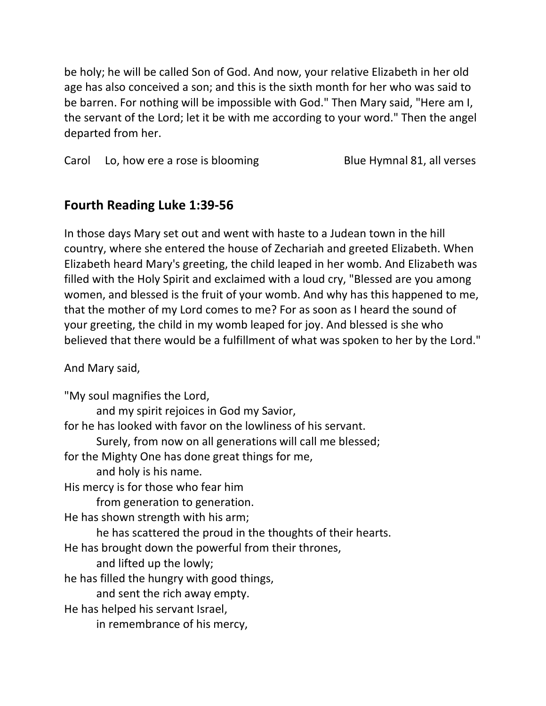be holy; he will be called Son of God. And now, your relative Elizabeth in her old age has also conceived a son; and this is the sixth month for her who was said to be barren. For nothing will be impossible with God." Then Mary said, "Here am I, the servant of the Lord; let it be with me according to your word." Then the angel departed from her.

Carol Lo, how ere a rose is blooming Blue Hymnal 81, all verses

# **Fourth Reading Luke 1:39-56**

In those days Mary set out and went with haste to a Judean town in the hill country, where she entered the house of Zechariah and greeted Elizabeth. When Elizabeth heard Mary's greeting, the child leaped in her womb. And Elizabeth was filled with the Holy Spirit and exclaimed with a loud cry, "Blessed are you among women, and blessed is the fruit of your womb. And why has this happened to me, that the mother of my Lord comes to me? For as soon as I heard the sound of your greeting, the child in my womb leaped for joy. And blessed is she who believed that there would be a fulfillment of what was spoken to her by the Lord."

And Mary said,

"My soul magnifies the Lord, and my spirit rejoices in God my Savior, for he has looked with favor on the lowliness of his servant. Surely, from now on all generations will call me blessed; for the Mighty One has done great things for me, and holy is his name. His mercy is for those who fear him from generation to generation. He has shown strength with his arm; he has scattered the proud in the thoughts of their hearts. He has brought down the powerful from their thrones, and lifted up the lowly; he has filled the hungry with good things, and sent the rich away empty. He has helped his servant Israel, in remembrance of his mercy,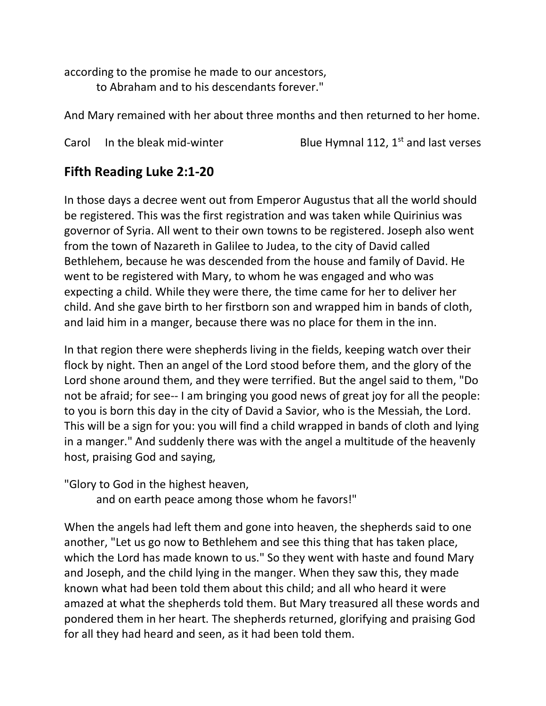according to the promise he made to our ancestors, to Abraham and to his descendants forever."

And Mary remained with her about three months and then returned to her home.

Carol In the bleak mid-winter Blue Hymnal 112,  $1<sup>st</sup>$  and last verses

# **Fifth Reading Luke 2:1-20**

In those days a decree went out from Emperor Augustus that all the world should be registered. This was the first registration and was taken while Quirinius was governor of Syria. All went to their own towns to be registered. Joseph also went from the town of Nazareth in Galilee to Judea, to the city of David called Bethlehem, because he was descended from the house and family of David. He went to be registered with Mary, to whom he was engaged and who was expecting a child. While they were there, the time came for her to deliver her child. And she gave birth to her firstborn son and wrapped him in bands of cloth, and laid him in a manger, because there was no place for them in the inn.

In that region there were shepherds living in the fields, keeping watch over their flock by night. Then an angel of the Lord stood before them, and the glory of the Lord shone around them, and they were terrified. But the angel said to them, "Do not be afraid; for see-- I am bringing you good news of great joy for all the people: to you is born this day in the city of David a Savior, who is the Messiah, the Lord. This will be a sign for you: you will find a child wrapped in bands of cloth and lying in a manger." And suddenly there was with the angel a multitude of the heavenly host, praising God and saying,

"Glory to God in the highest heaven,

and on earth peace among those whom he favors!"

When the angels had left them and gone into heaven, the shepherds said to one another, "Let us go now to Bethlehem and see this thing that has taken place, which the Lord has made known to us." So they went with haste and found Mary and Joseph, and the child lying in the manger. When they saw this, they made known what had been told them about this child; and all who heard it were amazed at what the shepherds told them. But Mary treasured all these words and pondered them in her heart. The shepherds returned, glorifying and praising God for all they had heard and seen, as it had been told them.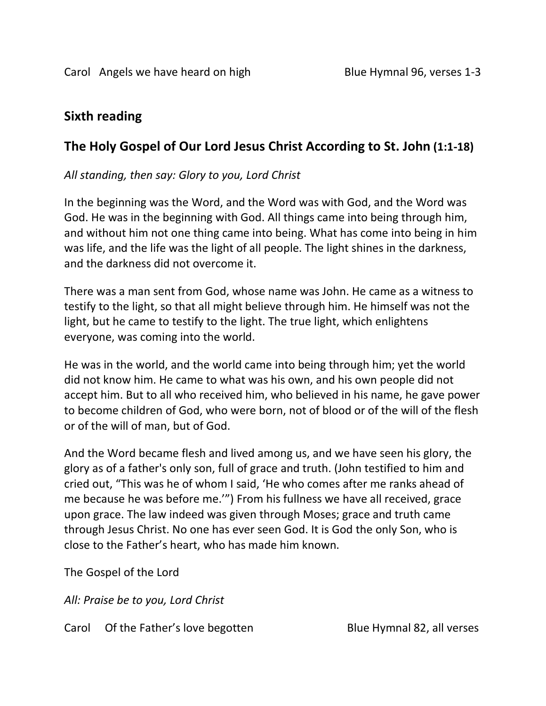#### **Sixth reading**

#### **The Holy Gospel of Our Lord Jesus Christ According to St. John (1:1-18)**

#### *All standing, then say: Glory to you, Lord Christ*

In the beginning was the Word, and the Word was with God, and the Word was God. He was in the beginning with God. All things came into being through him, and without him not one thing came into being. What has come into being in him was life, and the life was the light of all people. The light shines in the darkness, and the darkness did not overcome it.

There was a man sent from God, whose name was John. He came as a witness to testify to the light, so that all might believe through him. He himself was not the light, but he came to testify to the light. The true light, which enlightens everyone, was coming into the world.

He was in the world, and the world came into being through him; yet the world did not know him. He came to what was his own, and his own people did not accept him. But to all who received him, who believed in his name, he gave power to become children of God, who were born, not of blood or of the will of the flesh or of the will of man, but of God.

And the Word became flesh and lived among us, and we have seen his glory, the glory as of a father's only son, full of grace and truth. (John testified to him and cried out, "This was he of whom I said, 'He who comes after me ranks ahead of me because he was before me.'") From his fullness we have all received, grace upon grace. The law indeed was given through Moses; grace and truth came through Jesus Christ. No one has ever seen God. It is God the only Son, who is close to the Father's heart, who has made him known.

The Gospel of the Lord

*All: Praise be to you, Lord Christ*

Carol Of the Father's love begotten Blue Hymnal 82, all verses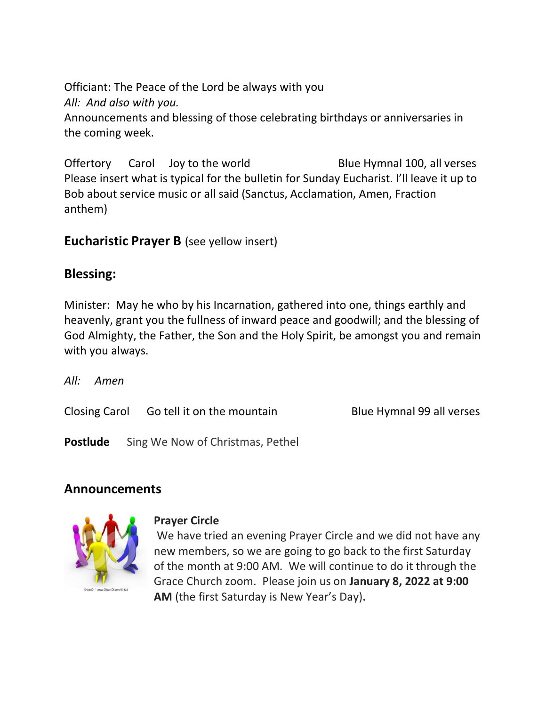Officiant: The Peace of the Lord be always with you *All: And also with you.* Announcements and blessing of those celebrating birthdays or anniversaries in the coming week.

Offertory Carol Joy to the world Blue Hymnal 100, all verses Please insert what is typical for the bulletin for Sunday Eucharist. I'll leave it up to Bob about service music or all said (Sanctus, Acclamation, Amen, Fraction anthem)

#### **Eucharistic Prayer B** (see yellow insert)

#### **Blessing:**

Minister: May he who by his Incarnation, gathered into one, things earthly and heavenly, grant you the fullness of inward peace and goodwill; and the blessing of God Almighty, the Father, the Son and the Holy Spirit, be amongst you and remain with you always.

*All: Amen*

Closing Carol Go tell it on the mountain Blue Hymnal 99 all verses

**Postlude** Sing We Now of Christmas, Pethel

#### **Announcements**



#### **Prayer Circle**

We have tried an evening Prayer Circle and we did not have any new members, so we are going to go back to the first Saturday of the month at 9:00 AM. We will continue to do it through the Grace Church zoom. Please join us on **January 8, 2022 at 9:00 AM** (the first Saturday is New Year's Day)**.**